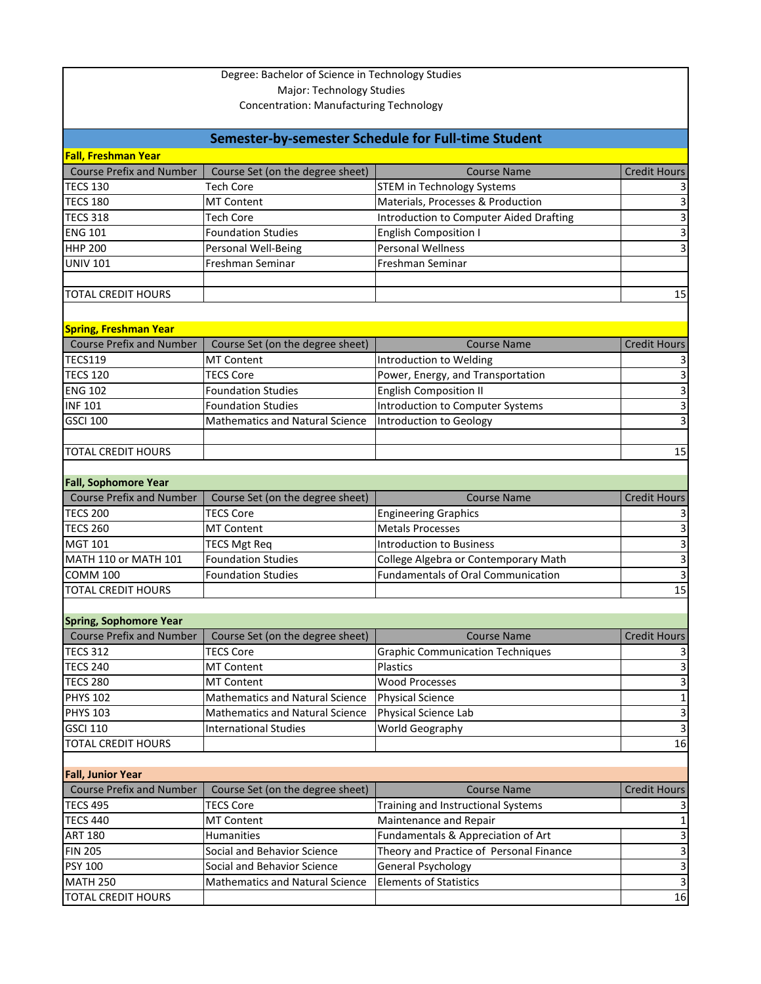| Degree: Bachelor of Science in Technology Studies<br><b>Major: Technology Studies</b><br><b>Concentration: Manufacturing Technology</b> |                                         |                                                                        |                     |  |  |
|-----------------------------------------------------------------------------------------------------------------------------------------|-----------------------------------------|------------------------------------------------------------------------|---------------------|--|--|
|                                                                                                                                         |                                         |                                                                        |                     |  |  |
| Semester-by-semester Schedule for Full-time Student                                                                                     |                                         |                                                                        |                     |  |  |
| <b>Fall, Freshman Year</b>                                                                                                              |                                         |                                                                        |                     |  |  |
| <b>Course Prefix and Number</b>                                                                                                         | Course Set (on the degree sheet)        | <b>Course Name</b>                                                     | <b>Credit Hours</b> |  |  |
| <b>TECS 130</b><br><b>TECS 180</b>                                                                                                      | <b>Tech Core</b><br><b>MT Content</b>   | <b>STEM in Technology Systems</b><br>Materials, Processes & Production |                     |  |  |
| <b>TECS 318</b>                                                                                                                         | <b>Tech Core</b>                        |                                                                        | 3<br>3              |  |  |
| <b>ENG 101</b>                                                                                                                          | <b>Foundation Studies</b>               | <b>Introduction to Computer Aided Drafting</b>                         | 3                   |  |  |
| <b>HHP 200</b>                                                                                                                          |                                         | <b>English Composition I</b><br><b>Personal Wellness</b>               | 3                   |  |  |
| <b>UNIV 101</b>                                                                                                                         | Personal Well-Being<br>Freshman Seminar | Freshman Seminar                                                       |                     |  |  |
|                                                                                                                                         |                                         |                                                                        |                     |  |  |
| <b>TOTAL CREDIT HOURS</b>                                                                                                               |                                         |                                                                        | 15                  |  |  |
|                                                                                                                                         |                                         |                                                                        |                     |  |  |
|                                                                                                                                         |                                         |                                                                        |                     |  |  |
| <b>Spring, Freshman Year</b>                                                                                                            |                                         |                                                                        |                     |  |  |
| <b>Course Prefix and Number</b>                                                                                                         | Course Set (on the degree sheet)        | <b>Course Name</b>                                                     | <b>Credit Hours</b> |  |  |
| <b>TECS119</b>                                                                                                                          | <b>MT Content</b>                       | Introduction to Welding                                                |                     |  |  |
| <b>TECS 120</b>                                                                                                                         | <b>TECS Core</b>                        | Power, Energy, and Transportation                                      | 3                   |  |  |
| <b>ENG 102</b>                                                                                                                          | <b>Foundation Studies</b>               | <b>English Composition II</b>                                          | 3                   |  |  |
| <b>INF 101</b>                                                                                                                          | <b>Foundation Studies</b>               | Introduction to Computer Systems                                       | 3                   |  |  |
| <b>GSCI 100</b>                                                                                                                         | <b>Mathematics and Natural Science</b>  | <b>Introduction to Geology</b>                                         | 3                   |  |  |
|                                                                                                                                         |                                         |                                                                        |                     |  |  |
| <b>TOTAL CREDIT HOURS</b>                                                                                                               |                                         |                                                                        | 15                  |  |  |
|                                                                                                                                         |                                         |                                                                        |                     |  |  |
| <b>Fall, Sophomore Year</b><br><b>Course Prefix and Number</b>                                                                          | Course Set (on the degree sheet)        | <b>Course Name</b>                                                     | <b>Credit Hours</b> |  |  |
| <b>TECS 200</b>                                                                                                                         | <b>TECS Core</b>                        | <b>Engineering Graphics</b>                                            |                     |  |  |
| <b>TECS 260</b>                                                                                                                         | <b>MT Content</b>                       | <b>Metals Processes</b>                                                | 3                   |  |  |
| <b>MGT 101</b>                                                                                                                          | <b>TECS Mgt Req</b>                     | <b>Introduction to Business</b>                                        | 3                   |  |  |
| MATH 110 or MATH 101                                                                                                                    | <b>Foundation Studies</b>               | College Algebra or Contemporary Math                                   | 3                   |  |  |
| COMM <sub>100</sub>                                                                                                                     | <b>Foundation Studies</b>               | <b>Fundamentals of Oral Communication</b>                              | 3                   |  |  |
| <b>TOTAL CREDIT HOURS</b>                                                                                                               |                                         |                                                                        | 15                  |  |  |
|                                                                                                                                         |                                         |                                                                        |                     |  |  |
| <b>Spring, Sophomore Year</b>                                                                                                           |                                         |                                                                        |                     |  |  |
| <b>Course Prefix and Number</b>                                                                                                         | Course Set (on the degree sheet)        | <b>Course Name</b>                                                     | <b>Credit Hours</b> |  |  |
| <b>TECS 312</b>                                                                                                                         | <b>TECS Core</b>                        | <b>Graphic Communication Techniques</b>                                |                     |  |  |
| <b>TECS 240</b>                                                                                                                         | <b>MT Content</b>                       | Plastics                                                               |                     |  |  |
| <b>TECS 280</b>                                                                                                                         | <b>MT Content</b>                       | <b>Wood Processes</b>                                                  | 3                   |  |  |
| <b>PHYS 102</b>                                                                                                                         | <b>Mathematics and Natural Science</b>  | <b>Physical Science</b>                                                | 1                   |  |  |
| <b>PHYS 103</b>                                                                                                                         | <b>Mathematics and Natural Science</b>  | Physical Science Lab                                                   | 3                   |  |  |
| <b>GSCI 110</b>                                                                                                                         | <b>International Studies</b>            | World Geography                                                        | 3                   |  |  |
| <b>TOTAL CREDIT HOURS</b>                                                                                                               |                                         |                                                                        | 16                  |  |  |
|                                                                                                                                         |                                         |                                                                        |                     |  |  |
| <b>Fall, Junior Year</b>                                                                                                                |                                         |                                                                        |                     |  |  |
| <b>Course Prefix and Number</b>                                                                                                         | Course Set (on the degree sheet)        | <b>Course Name</b>                                                     | <b>Credit Hours</b> |  |  |
| <b>TECS 495</b>                                                                                                                         | <b>TECS Core</b>                        | Training and Instructional Systems                                     |                     |  |  |
| <b>TECS 440</b>                                                                                                                         | <b>MT Content</b>                       | Maintenance and Repair                                                 |                     |  |  |
| <b>ART 180</b>                                                                                                                          | <b>Humanities</b>                       | Fundamentals & Appreciation of Art                                     | 3                   |  |  |
| <b>FIN 205</b>                                                                                                                          | Social and Behavior Science             | Theory and Practice of Personal Finance                                | 3                   |  |  |
| <b>PSY 100</b>                                                                                                                          | Social and Behavior Science             | <b>General Psychology</b>                                              | 3                   |  |  |
| <b>MATH 250</b>                                                                                                                         | <b>Mathematics and Natural Science</b>  | <b>Elements of Statistics</b>                                          | 3                   |  |  |
| <b>TOTAL CREDIT HOURS</b>                                                                                                               |                                         |                                                                        | 16                  |  |  |